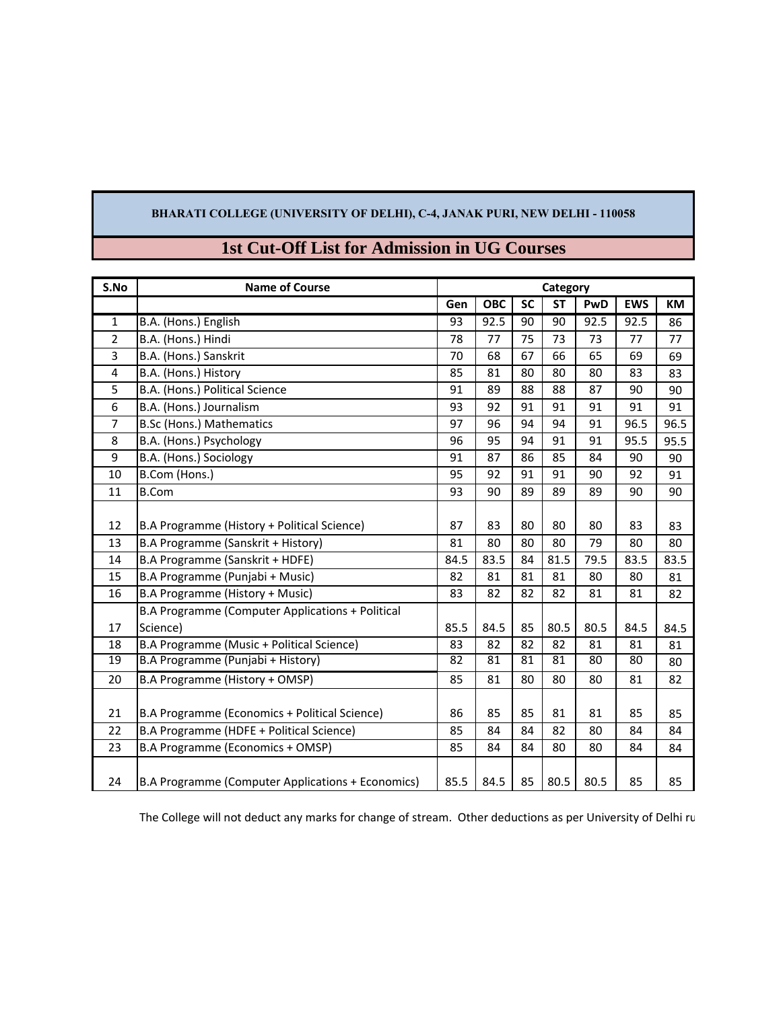## **BHARATI COLLEGE (UNIVERSITY OF DELHI), C-4, JANAK PURI, NEW DELHI - 110058**

| S.No            | <b>Name of Course</b>                             | Category |            |           |           |      |            |      |
|-----------------|---------------------------------------------------|----------|------------|-----------|-----------|------|------------|------|
|                 |                                                   | Gen      | <b>OBC</b> | <b>SC</b> | <b>ST</b> | PwD  | <b>EWS</b> | КM   |
| 1               | B.A. (Hons.) English                              | 93       | 92.5       | 90        | 90        | 92.5 | 92.5       | 86   |
| 2               | B.A. (Hons.) Hindi                                | 78       | 77         | 75        | 73        | 73   | 77         | 77   |
| 3               | B.A. (Hons.) Sanskrit                             | 70       | 68         | 67        | 66        | 65   | 69         | 69   |
| 4               | B.A. (Hons.) History                              | 85       | 81         | 80        | 80        | 80   | 83         | 83   |
| 5               | B.A. (Hons.) Political Science                    | 91       | 89         | 88        | 88        | 87   | 90         | 90   |
| 6               | B.A. (Hons.) Journalism                           | 93       | 92         | 91        | 91        | 91   | 91         | 91   |
| $\overline{7}$  | <b>B.Sc (Hons.) Mathematics</b>                   | 97       | 96         | 94        | 94        | 91   | 96.5       | 96.5 |
| 8               | B.A. (Hons.) Psychology                           | 96       | 95         | 94        | 91        | 91   | 95.5       | 95.5 |
| 9               | B.A. (Hons.) Sociology                            | 91       | 87         | 86        | 85        | 84   | 90         | 90   |
| 10              | B.Com (Hons.)                                     | 95       | 92         | 91        | 91        | 90   | 92         | 91   |
| 11              | <b>B.Com</b>                                      | 93       | 90         | 89        | 89        | 89   | 90         | 90   |
|                 |                                                   |          |            |           |           |      |            |      |
| 12              | B.A Programme (History + Political Science)       | 87       | 83         | 80        | 80        | 80   | 83         | 83   |
| 13              | B.A Programme (Sanskrit + History)                | 81       | 80         | 80        | 80        | 79   | 80         | 80   |
| 14              | B.A Programme (Sanskrit + HDFE)                   | 84.5     | 83.5       | 84        | 81.5      | 79.5 | 83.5       | 83.5 |
| 15              | B.A Programme (Punjabi + Music)                   | 82       | 81         | 81        | 81        | 80   | 80         | 81   |
| 16              | B.A Programme (History + Music)                   | 83       | 82         | 82        | 82        | 81   | 81         | 82   |
|                 | B.A Programme (Computer Applications + Political  |          |            |           |           |      |            |      |
| 17              | Science)                                          | 85.5     | 84.5       | 85        | 80.5      | 80.5 | 84.5       | 84.5 |
| 18              | B.A Programme (Music + Political Science)         | 83       | 82         | 82        | 82        | 81   | 81         | 81   |
| $\overline{19}$ | B.A Programme (Punjabi + History)                 | 82       | 81         | 81        | 81        | 80   | 80         | 80   |
| 20              | B.A Programme (History + OMSP)                    | 85       | 81         | 80        | 80        | 80   | 81         | 82   |
|                 |                                                   |          |            |           |           |      |            |      |
| 21              | B.A Programme (Economics + Political Science)     | 86       | 85         | 85        | 81        | 81   | 85         | 85   |
| 22              | B.A Programme (HDFE + Political Science)          | 85       | 84         | 84        | 82        | 80   | 84         | 84   |
| 23              | B.A Programme (Economics + OMSP)                  | 85       | 84         | 84        | 80        | 80   | 84         | 84   |
| 24              | B.A Programme (Computer Applications + Economics) | 85.5     | 84.5       | 85        | 80.5      | 80.5 | 85         | 85   |

## **1st Cut-Off List for Admission in UG Courses**

The College will not deduct any marks for change of stream. Other deductions as per University of Delhi ru